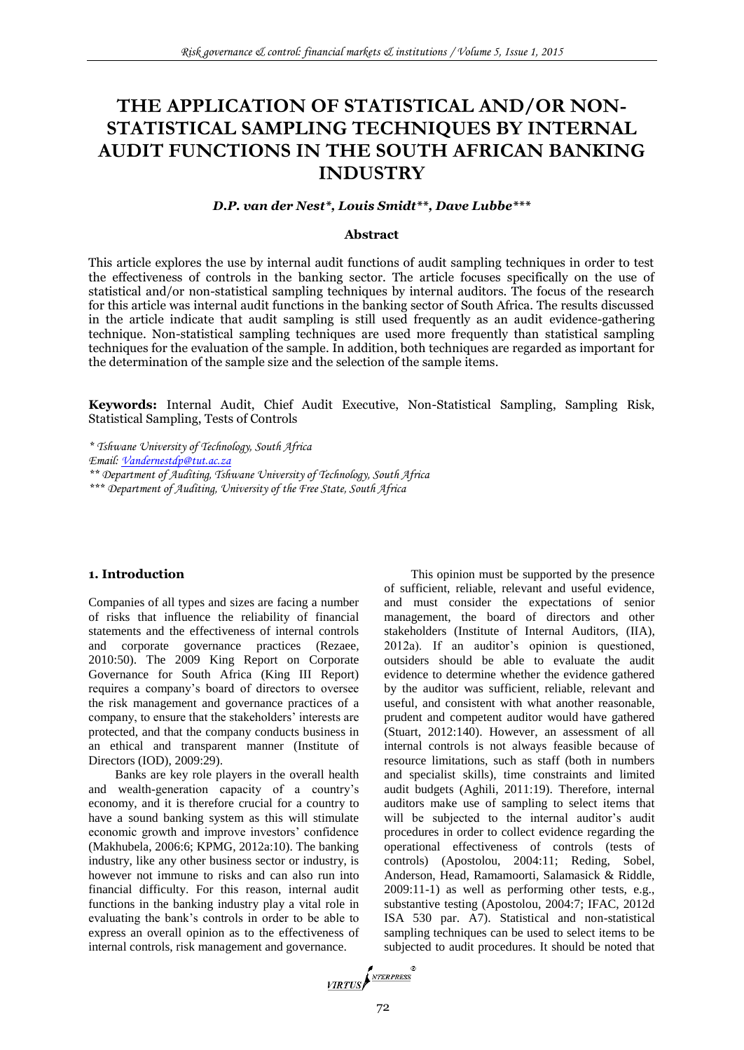# **THE APPLICATION OF STATISTICAL AND/OR NON-STATISTICAL SAMPLING TECHNIQUES BY INTERNAL AUDIT FUNCTIONS IN THE SOUTH AFRICAN BANKING INDUSTRY**

# *D.P. van der Nest\*, Louis Smidt\*\*, Dave Lubbe\*\*\**

#### **Abstract**

This article explores the use by internal audit functions of audit sampling techniques in order to test the effectiveness of controls in the banking sector. The article focuses specifically on the use of statistical and/or non-statistical sampling techniques by internal auditors. The focus of the research for this article was internal audit functions in the banking sector of South Africa. The results discussed in the article indicate that audit sampling is still used frequently as an audit evidence-gathering technique. Non-statistical sampling techniques are used more frequently than statistical sampling techniques for the evaluation of the sample. In addition, both techniques are regarded as important for the determination of the sample size and the selection of the sample items.

**Keywords:** Internal Audit, Chief Audit Executive, Non-Statistical Sampling, Sampling Risk, Statistical Sampling, Tests of Controls

*\* Tshwane University of Technology, South Africa Email: [Vandernestdp@tut.ac.za](mailto:Vandernestdp@tut.ac.za) \*\* Department of Auditing, Tshwane University of Technology, South Africa \*\*\* Department of Auditing, University of the Free State, South Africa*

#### **1. Introduction**

Companies of all types and sizes are facing a number of risks that influence the reliability of financial statements and the effectiveness of internal controls and corporate governance practices (Rezaee, 2010:50). The 2009 King Report on Corporate Governance for South Africa (King III Report) requires a company's board of directors to oversee the risk management and governance practices of a company, to ensure that the stakeholders' interests are protected, and that the company conducts business in an ethical and transparent manner (Institute of Directors (IOD), 2009:29).

Banks are key role players in the overall health and wealth-generation capacity of a country's economy, and it is therefore crucial for a country to have a sound banking system as this will stimulate economic growth and improve investors' confidence (Makhubela, 2006:6; KPMG, 2012a:10). The banking industry, like any other business sector or industry, is however not immune to risks and can also run into financial difficulty. For this reason, internal audit functions in the banking industry play a vital role in evaluating the bank's controls in order to be able to express an overall opinion as to the effectiveness of internal controls, risk management and governance.

This opinion must be supported by the presence of sufficient, reliable, relevant and useful evidence, and must consider the expectations of senior management, the board of directors and other stakeholders (Institute of Internal Auditors, (IIA), 2012a). If an auditor's opinion is questioned, outsiders should be able to evaluate the audit evidence to determine whether the evidence gathered by the auditor was sufficient, reliable, relevant and useful, and consistent with what another reasonable, prudent and competent auditor would have gathered (Stuart, 2012:140). However, an assessment of all internal controls is not always feasible because of resource limitations, such as staff (both in numbers and specialist skills), time constraints and limited audit budgets (Aghili, 2011:19). Therefore, internal auditors make use of sampling to select items that will be subjected to the internal auditor's audit procedures in order to collect evidence regarding the operational effectiveness of controls (tests of controls) (Apostolou, 2004:11; Reding, Sobel, Anderson, Head, Ramamoorti, Salamasick & Riddle, 2009:11-1) as well as performing other tests, e.g., substantive testing (Apostolou, 2004:7; IFAC, 2012d ISA 530 par. A7). Statistical and non-statistical sampling techniques can be used to select items to be subjected to audit procedures. It should be noted that

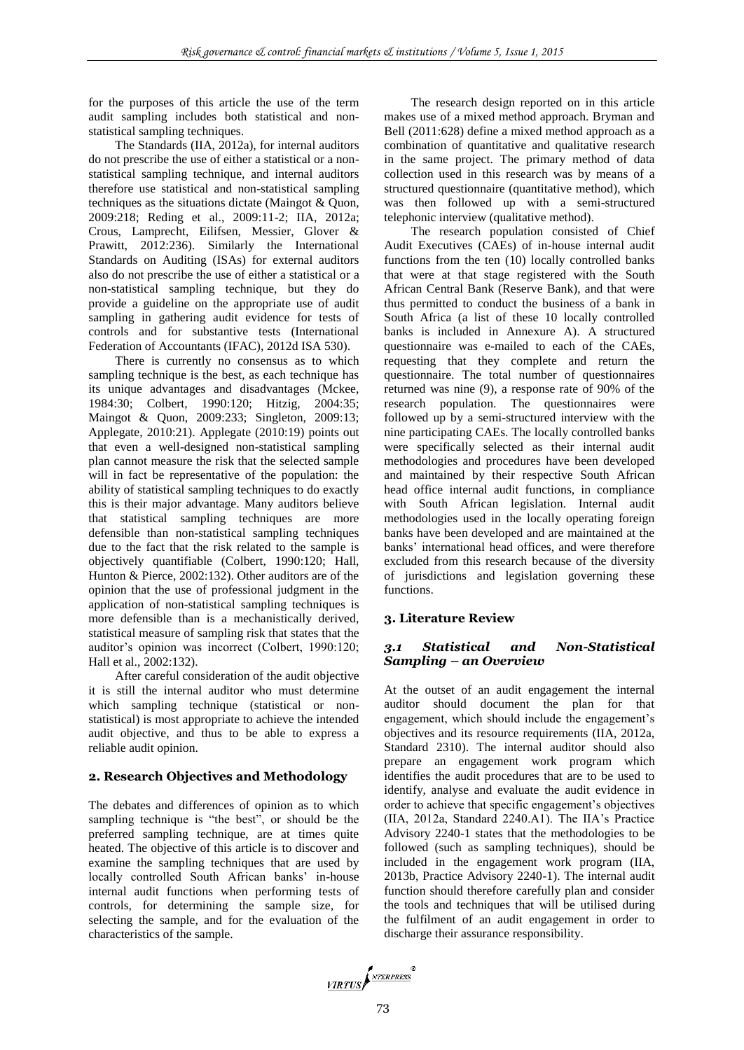for the purposes of this article the use of the term audit sampling includes both statistical and nonstatistical sampling techniques.

The Standards (IIA, 2012a), for internal auditors do not prescribe the use of either a statistical or a nonstatistical sampling technique, and internal auditors therefore use statistical and non-statistical sampling techniques as the situations dictate (Maingot & Quon, 2009:218; Reding et al., 2009:11-2; IIA, 2012a; Crous, Lamprecht, Eilifsen, Messier, Glover & Prawitt, 2012:236). Similarly the International Standards on Auditing (ISAs) for external auditors also do not prescribe the use of either a statistical or a non-statistical sampling technique, but they do provide a guideline on the appropriate use of audit sampling in gathering audit evidence for tests of controls and for substantive tests (International Federation of Accountants (IFAC), 2012d ISA 530).

There is currently no consensus as to which sampling technique is the best, as each technique has its unique advantages and disadvantages (Mckee, 1984:30; Colbert, 1990:120; Hitzig, 2004:35; Maingot & Quon, 2009:233; Singleton, 2009:13; Applegate, 2010:21). Applegate (2010:19) points out that even a well-designed non-statistical sampling plan cannot measure the risk that the selected sample will in fact be representative of the population: the ability of statistical sampling techniques to do exactly this is their major advantage. Many auditors believe that statistical sampling techniques are more defensible than non-statistical sampling techniques due to the fact that the risk related to the sample is objectively quantifiable (Colbert, 1990:120; Hall, Hunton & Pierce, 2002:132). Other auditors are of the opinion that the use of professional judgment in the application of non-statistical sampling techniques is more defensible than is a mechanistically derived, statistical measure of sampling risk that states that the auditor's opinion was incorrect (Colbert, 1990:120; Hall et al., 2002:132).

After careful consideration of the audit objective it is still the internal auditor who must determine which sampling technique (statistical or nonstatistical) is most appropriate to achieve the intended audit objective, and thus to be able to express a reliable audit opinion.

### **2. Research Objectives and Methodology**

The debates and differences of opinion as to which sampling technique is "the best", or should be the preferred sampling technique, are at times quite heated. The objective of this article is to discover and examine the sampling techniques that are used by locally controlled South African banks' in-house internal audit functions when performing tests of controls, for determining the sample size, for selecting the sample, and for the evaluation of the characteristics of the sample.

The research design reported on in this article makes use of a mixed method approach. Bryman and Bell (2011:628) define a mixed method approach as a combination of quantitative and qualitative research in the same project. The primary method of data collection used in this research was by means of a structured questionnaire (quantitative method), which was then followed up with a semi-structured telephonic interview (qualitative method).

The research population consisted of Chief Audit Executives (CAEs) of in-house internal audit functions from the ten (10) locally controlled banks that were at that stage registered with the South African Central Bank (Reserve Bank), and that were thus permitted to conduct the business of a bank in South Africa (a list of these 10 locally controlled banks is included in Annexure A). A structured questionnaire was e-mailed to each of the CAEs, requesting that they complete and return the questionnaire. The total number of questionnaires returned was nine (9), a response rate of 90% of the research population. The questionnaires were followed up by a semi-structured interview with the nine participating CAEs. The locally controlled banks were specifically selected as their internal audit methodologies and procedures have been developed and maintained by their respective South African head office internal audit functions, in compliance with South African legislation. Internal audit methodologies used in the locally operating foreign banks have been developed and are maintained at the banks' international head offices, and were therefore excluded from this research because of the diversity of jurisdictions and legislation governing these functions.

# **3. Literature Review**

## *3.1 Statistical and Non-Statistical Sampling – аn Overview*

At the outset of an audit engagement the internal auditor should document the plan for that engagement, which should include the engagement's objectives and its resource requirements (IIA, 2012a, Standard 2310). The internal auditor should also prepare an engagement work program which identifies the audit procedures that are to be used to identify, analyse and evaluate the audit evidence in order to achieve that specific engagement's objectives (IIA, 2012a, Standard 2240.A1). The IIA's Practice Advisory 2240-1 states that the methodologies to be followed (such as sampling techniques), should be included in the engagement work program (IIA, 2013b, Practice Advisory 2240-1). The internal audit function should therefore carefully plan and consider the tools and techniques that will be utilised during the fulfilment of an audit engagement in order to discharge their assurance responsibility.

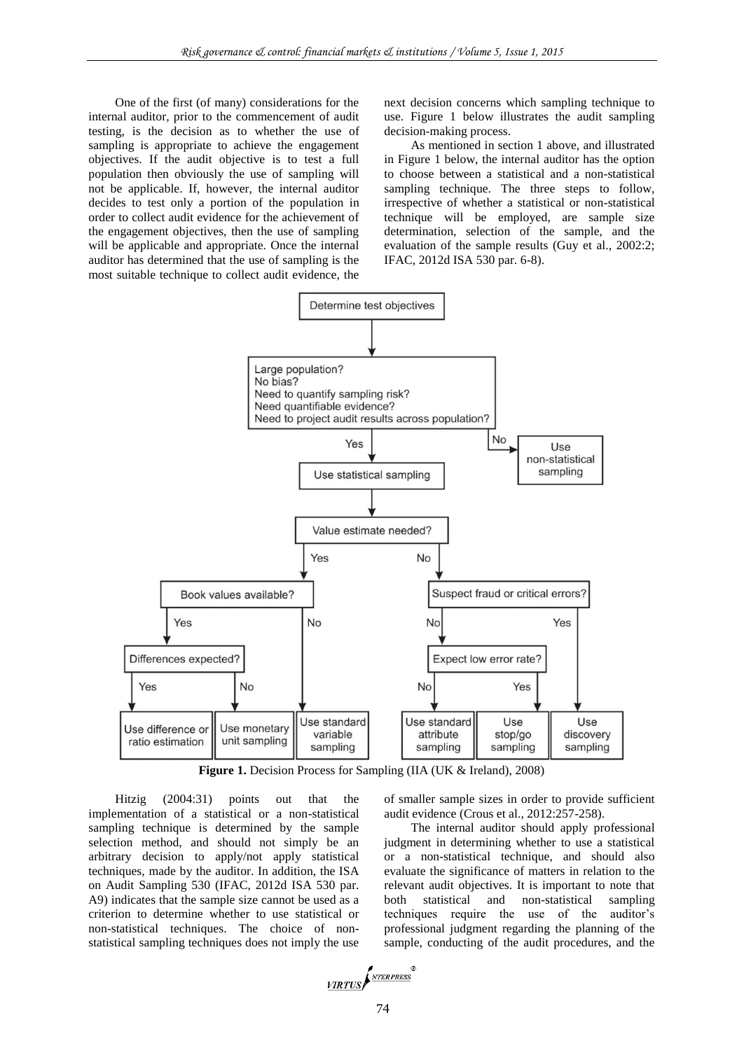One of the first (of many) considerations for the internal auditor, prior to the commencement of audit testing, is the decision as to whether the use of sampling is appropriate to achieve the engagement objectives. If the audit objective is to test a full population then obviously the use of sampling will not be applicable. If, however, the internal auditor decides to test only a portion of the population in order to collect audit evidence for the achievement of the engagement objectives, then the use of sampling will be applicable and appropriate. Once the internal auditor has determined that the use of sampling is the most suitable technique to collect audit evidence, the

next decision concerns which sampling technique to use. Figure 1 below illustrates the audit sampling decision-making process.

As mentioned in section 1 above, and illustrated in Figure 1 below, the internal auditor has the option to choose between a statistical and a non-statistical sampling technique. The three steps to follow, irrespective of whether a statistical or non-statistical technique will be employed, are sample size determination, selection of the sample, and the evaluation of the sample results (Guy et al., 2002:2; IFAC, 2012d ISA 530 par. 6-8).



Figure 1. Decision Process for Sampling (IIA (UK & Ireland), 2008)

Hitzig (2004:31) points out that the implementation of a statistical or a non-statistical sampling technique is determined by the sample selection method, and should not simply be an arbitrary decision to apply/not apply statistical techniques, made by the auditor. In addition, the ISA on Audit Sampling 530 (IFAC, 2012d ISA 530 par. A9) indicates that the sample size cannot be used as a criterion to determine whether to use statistical or non-statistical techniques. The choice of nonstatistical sampling techniques does not imply the use

of smaller sample sizes in order to provide sufficient audit evidence (Crous et al., 2012:257-258).

The internal auditor should apply professional judgment in determining whether to use a statistical or a non-statistical technique, and should also evaluate the significance of matters in relation to the relevant audit objectives. It is important to note that both statistical and non-statistical sampling techniques require the use of the auditor's professional judgment regarding the planning of the sample, conducting of the audit procedures, and the

$$
\underbrace{\textit{VIRTUS}}\textit{F}^{\textit{NTERPRESS}}\textit{F}
$$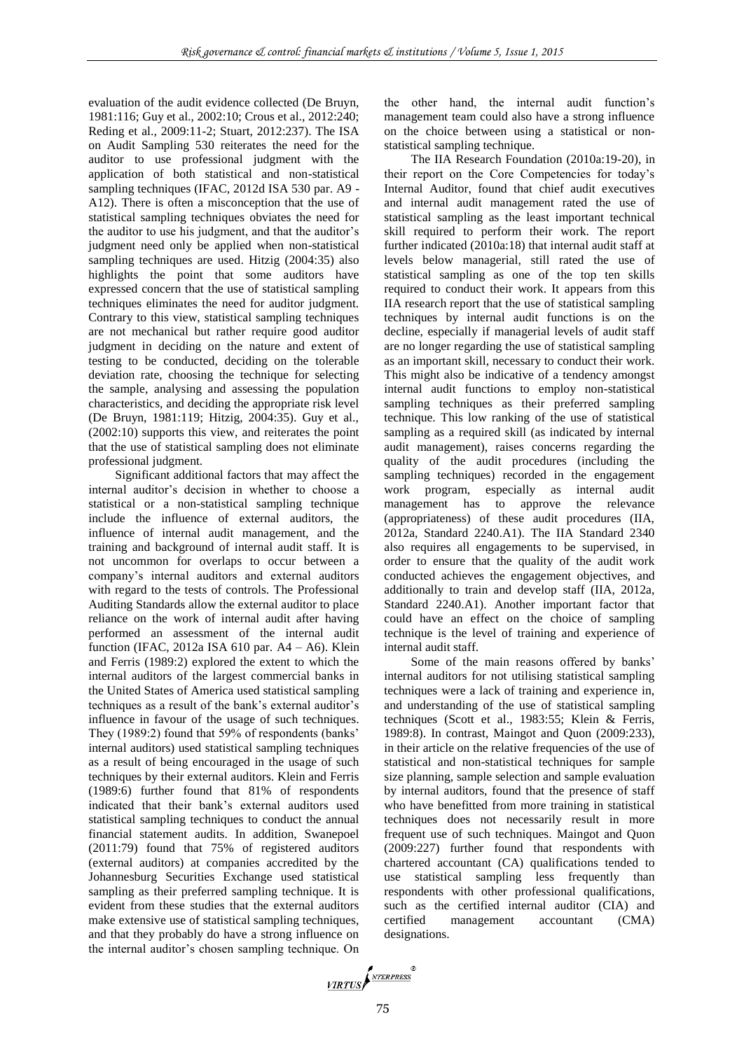evaluation of the audit evidence collected (De Bruyn, 1981:116; Guy et al., 2002:10; Crous et al., 2012:240; Reding et al., 2009:11-2; Stuart, 2012:237). The ISA on Audit Sampling 530 reiterates the need for the auditor to use professional judgment with the application of both statistical and non-statistical sampling techniques (IFAC, 2012d ISA 530 par. A9 -A12). There is often a misconception that the use of statistical sampling techniques obviates the need for the auditor to use his judgment, and that the auditor's judgment need only be applied when non-statistical sampling techniques are used. Hitzig (2004:35) also highlights the point that some auditors have expressed concern that the use of statistical sampling techniques eliminates the need for auditor judgment. Contrary to this view, statistical sampling techniques are not mechanical but rather require good auditor judgment in deciding on the nature and extent of testing to be conducted, deciding on the tolerable deviation rate, choosing the technique for selecting the sample, analysing and assessing the population characteristics, and deciding the appropriate risk level (De Bruyn, 1981:119; Hitzig, 2004:35). Guy et al., (2002:10) supports this view, and reiterates the point that the use of statistical sampling does not eliminate professional judgment.

Significant additional factors that may affect the internal auditor's decision in whether to choose a statistical or a non-statistical sampling technique include the influence of external auditors, the influence of internal audit management, and the training and background of internal audit staff. It is not uncommon for overlaps to occur between a company's internal auditors and external auditors with regard to the tests of controls. The Professional Auditing Standards allow the external auditor to place reliance on the work of internal audit after having performed an assessment of the internal audit function (IFAC, 2012a ISA 610 par. A4 – A6). Klein and Ferris (1989:2) explored the extent to which the internal auditors of the largest commercial banks in the United States of America used statistical sampling techniques as a result of the bank's external auditor's influence in favour of the usage of such techniques. They (1989:2) found that 59% of respondents (banks' internal auditors) used statistical sampling techniques as a result of being encouraged in the usage of such techniques by their external auditors. Klein and Ferris (1989:6) further found that 81% of respondents indicated that their bank's external auditors used statistical sampling techniques to conduct the annual financial statement audits. In addition, Swanepoel (2011:79) found that 75% of registered auditors (external auditors) at companies accredited by the Johannesburg Securities Exchange used statistical sampling as their preferred sampling technique. It is evident from these studies that the external auditors make extensive use of statistical sampling techniques, and that they probably do have a strong influence on the internal auditor's chosen sampling technique. On the other hand, the internal audit function's management team could also have a strong influence on the choice between using a statistical or nonstatistical sampling technique.

The IIA Research Foundation (2010a:19-20), in their report on the Core Competencies for today's Internal Auditor, found that chief audit executives and internal audit management rated the use of statistical sampling as the least important technical skill required to perform their work. The report further indicated (2010a:18) that internal audit staff at levels below managerial, still rated the use of statistical sampling as one of the top ten skills required to conduct their work. It appears from this IIA research report that the use of statistical sampling techniques by internal audit functions is on the decline, especially if managerial levels of audit staff are no longer regarding the use of statistical sampling as an important skill, necessary to conduct their work. This might also be indicative of a tendency amongst internal audit functions to employ non-statistical sampling techniques as their preferred sampling technique. This low ranking of the use of statistical sampling as a required skill (as indicated by internal audit management), raises concerns regarding the quality of the audit procedures (including the sampling techniques) recorded in the engagement work program, especially as internal audit management has to approve the relevance (appropriateness) of these audit procedures (IIA, 2012a, Standard 2240.A1). The IIA Standard 2340 also requires all engagements to be supervised, in order to ensure that the quality of the audit work conducted achieves the engagement objectives, and additionally to train and develop staff (IIA, 2012a, Standard 2240.A1). Another important factor that could have an effect on the choice of sampling technique is the level of training and experience of internal audit staff.

Some of the main reasons offered by banks' internal auditors for not utilising statistical sampling techniques were a lack of training and experience in, and understanding of the use of statistical sampling techniques (Scott et al., 1983:55; Klein & Ferris, 1989:8). In contrast, Maingot and Quon (2009:233), in their article on the relative frequencies of the use of statistical and non-statistical techniques for sample size planning, sample selection and sample evaluation by internal auditors, found that the presence of staff who have benefitted from more training in statistical techniques does not necessarily result in more frequent use of such techniques. Maingot and Quon (2009:227) further found that respondents with chartered accountant (CA) qualifications tended to use statistical sampling less frequently than respondents with other professional qualifications, such as the certified internal auditor (CIA) and certified management accountant (CMA) designations.

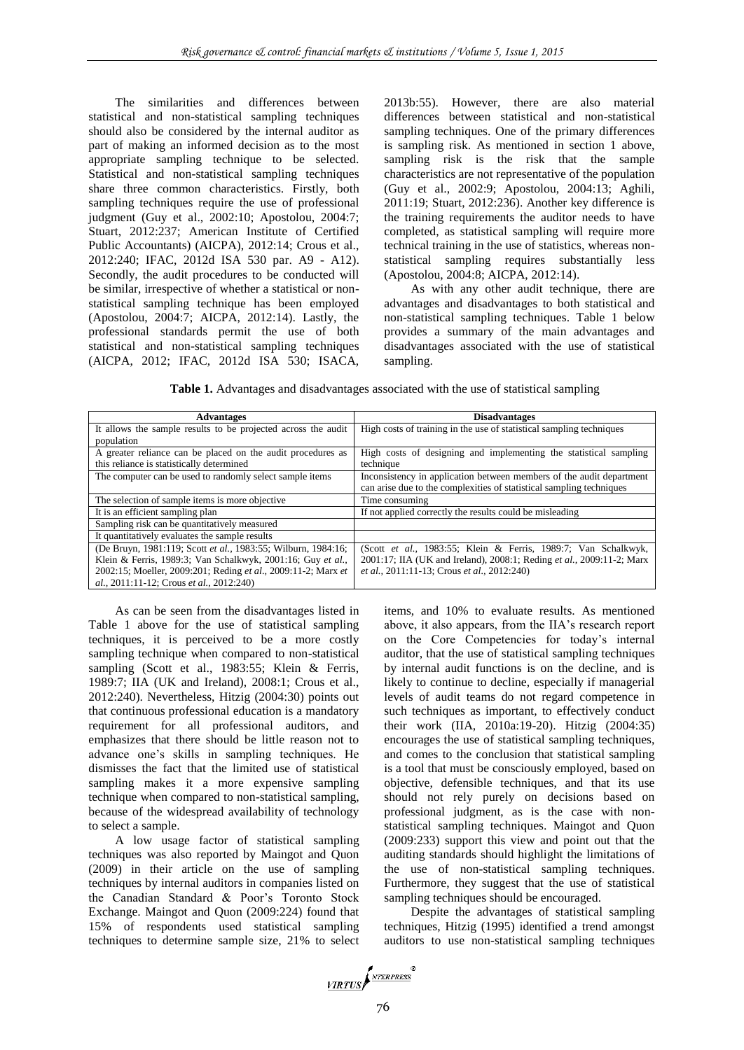The similarities and differences between statistical and non-statistical sampling techniques should also be considered by the internal auditor as part of making an informed decision as to the most appropriate sampling technique to be selected. Statistical and non-statistical sampling techniques share three common characteristics. Firstly, both sampling techniques require the use of professional judgment (Guy et al., 2002:10; Apostolou, 2004:7; Stuart, 2012:237; American Institute of Certified Public Accountants) (AICPA), 2012:14; Crous et al., 2012:240; IFAC, 2012d ISA 530 par. A9 - A12). Secondly, the audit procedures to be conducted will be similar, irrespective of whether a statistical or nonstatistical sampling technique has been employed (Apostolou, 2004:7; AICPA, 2012:14). Lastly, the professional standards permit the use of both statistical and non-statistical sampling techniques (AICPA, 2012; IFAC, 2012d ISA 530; ISACA,

2013b:55). However, there are also material differences between statistical and non-statistical sampling techniques. One of the primary differences is sampling risk. As mentioned in section 1 above, sampling risk is the risk that the sample characteristics are not representative of the population (Guy et al., 2002:9; Apostolou, 2004:13; Aghili, 2011:19; Stuart, 2012:236). Another key difference is the training requirements the auditor needs to have completed, as statistical sampling will require more technical training in the use of statistics, whereas nonstatistical sampling requires substantially less (Apostolou, 2004:8; AICPA, 2012:14).

As with any other audit technique, there are advantages and disadvantages to both statistical and non-statistical sampling techniques. Table 1 below provides a summary of the main advantages and disadvantages associated with the use of statistical sampling.

**Table 1.** Advantages and disadvantages associated with the use of statistical sampling

| <b>Advantages</b>                                             | <b>Disadvantages</b>                                                  |
|---------------------------------------------------------------|-----------------------------------------------------------------------|
| It allows the sample results to be projected across the audit | High costs of training in the use of statistical sampling techniques  |
| population                                                    |                                                                       |
| A greater reliance can be placed on the audit procedures as   | High costs of designing and implementing the statistical sampling     |
| this reliance is statistically determined                     | technique                                                             |
| The computer can be used to randomly select sample items      | Inconsistency in application between members of the audit department  |
|                                                               | can arise due to the complexities of statistical sampling techniques  |
| The selection of sample items is more objective.              | Time consuming                                                        |
| It is an efficient sampling plan                              | If not applied correctly the results could be misleading              |
| Sampling risk can be quantitatively measured                  |                                                                       |
| It quantitatively evaluates the sample results                |                                                                       |
| (De Bruyn, 1981:119; Scott et al., 1983:55; Wilburn, 1984:16; | (Scott et al., 1983:55; Klein & Ferris, 1989:7; Van Schalkwyk,        |
| Klein & Ferris, 1989:3; Van Schalkwyk, 2001:16; Guy et al.,   | 2001:17; IIA (UK and Ireland), 2008:1; Reding et al., 2009:11-2; Marx |
| 2002:15; Moeller, 2009:201; Reding et al., 2009:11-2; Marx et | et al., 2011:11-13; Crous et al., 2012:240)                           |
| al., 2011:11-12; Crous et al., 2012:240)                      |                                                                       |

As can be seen from the disadvantages listed in Table 1 above for the use of statistical sampling techniques, it is perceived to be a more costly sampling technique when compared to non-statistical sampling (Scott et al., 1983:55; Klein & Ferris, 1989:7; IIA (UK and Ireland), 2008:1; Crous et al., 2012:240). Nevertheless, Hitzig (2004:30) points out that continuous professional education is a mandatory requirement for all professional auditors, and emphasizes that there should be little reason not to advance one's skills in sampling techniques. He dismisses the fact that the limited use of statistical sampling makes it a more expensive sampling technique when compared to non-statistical sampling, because of the widespread availability of technology to select a sample.

A low usage factor of statistical sampling techniques was also reported by Maingot and Quon (2009) in their article on the use of sampling techniques by internal auditors in companies listed on the Canadian Standard & Poor's Toronto Stock Exchange. Maingot and Quon (2009:224) found that 15% of respondents used statistical sampling techniques to determine sample size, 21% to select items, and 10% to evaluate results. As mentioned above, it also appears, from the IIA's research report on the Core Competencies for today's internal auditor, that the use of statistical sampling techniques by internal audit functions is on the decline, and is likely to continue to decline, especially if managerial levels of audit teams do not regard competence in such techniques as important, to effectively conduct their work (IIA, 2010a:19-20). Hitzig (2004:35) encourages the use of statistical sampling techniques, and comes to the conclusion that statistical sampling is a tool that must be consciously employed, based on objective, defensible techniques, and that its use should not rely purely on decisions based on professional judgment, as is the case with nonstatistical sampling techniques. Maingot and Quon (2009:233) support this view and point out that the auditing standards should highlight the limitations of the use of non-statistical sampling techniques. Furthermore, they suggest that the use of statistical sampling techniques should be encouraged.

Despite the advantages of statistical sampling techniques, Hitzig (1995) identified a trend amongst auditors to use non-statistical sampling techniques

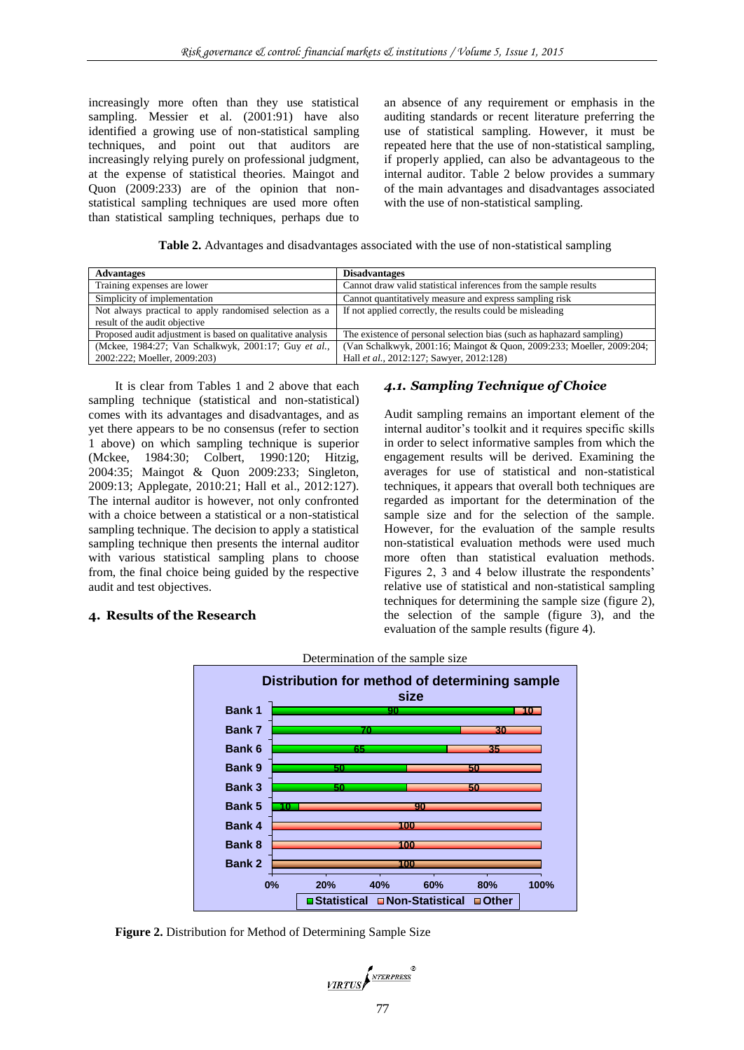increasingly more often than they use statistical sampling. Messier et al. (2001:91) have also identified a growing use of non-statistical sampling techniques, and point out that auditors are increasingly relying purely on professional judgment, at the expense of statistical theories. Maingot and Quon (2009:233) are of the opinion that nonstatistical sampling techniques are used more often than statistical sampling techniques, perhaps due to

an absence of any requirement or emphasis in the auditing standards or recent literature preferring the use of statistical sampling. However, it must be repeated here that the use of non-statistical sampling, if properly applied, can also be advantageous to the internal auditor. Table 2 below provides a summary of the main advantages and disadvantages associated with the use of non-statistical sampling.

**Table 2.** Advantages and disadvantages associated with the use of non-statistical sampling

| <b>Advantages</b>                                                                        | <b>Disadvantages</b>                                                                                              |
|------------------------------------------------------------------------------------------|-------------------------------------------------------------------------------------------------------------------|
| Training expenses are lower                                                              | Cannot draw valid statistical inferences from the sample results                                                  |
| Simplicity of implementation                                                             | Cannot quantitatively measure and express sampling risk                                                           |
| Not always practical to apply randomised selection as a<br>result of the audit objective | If not applied correctly, the results could be misleading                                                         |
| Proposed audit adjustment is based on qualitative analysis                               | The existence of personal selection bias (such as haphazard sampling)                                             |
| (Mckee, 1984:27; Van Schalkwyk, 2001:17; Guy et al.,<br>2002:222; Moeller, 2009:203)     | (Van Schalkwyk, 2001:16; Maingot & Quon, 2009:233; Moeller, 2009:204;<br>Hall et al., 2012:127; Sawyer, 2012:128) |

It is clear from Tables 1 and 2 above that each sampling technique (statistical and non-statistical) comes with its advantages and disadvantages, and as yet there appears to be no consensus (refer to section 1 above) on which sampling technique is superior (Mckee, 1984:30; Colbert, 1990:120; Hitzig, 2004:35; Maingot & Quon 2009:233; Singleton, 2009:13; Applegate, 2010:21; Hall et al., 2012:127). The internal auditor is however, not only confronted with a choice between a statistical or a non-statistical sampling technique. The decision to apply a statistical sampling technique then presents the internal auditor with various statistical sampling plans to choose from, the final choice being guided by the respective audit and test objectives.

### **4. Results of the Research**

## *4.1. Sampling Technique of Choice*

Audit sampling remains an important element of the internal auditor's toolkit and it requires specific skills in order to select informative samples from which the engagement results will be derived. Examining the averages for use of statistical and non-statistical techniques, it appears that overall both techniques are regarded as important for the determination of the sample size and for the selection of the sample. However, for the evaluation of the sample results non-statistical evaluation methods were used much more often than statistical evaluation methods. Figures 2, 3 and 4 below illustrate the respondents' relative use of statistical and non-statistical sampling techniques for determining the sample size (figure 2), the selection of the sample (figure 3), and the evaluation of the sample results (figure 4).



Determination of the sample size

**Figure 2.** Distribution for Method of Determining Sample Size

VIRTUS NTERPRESS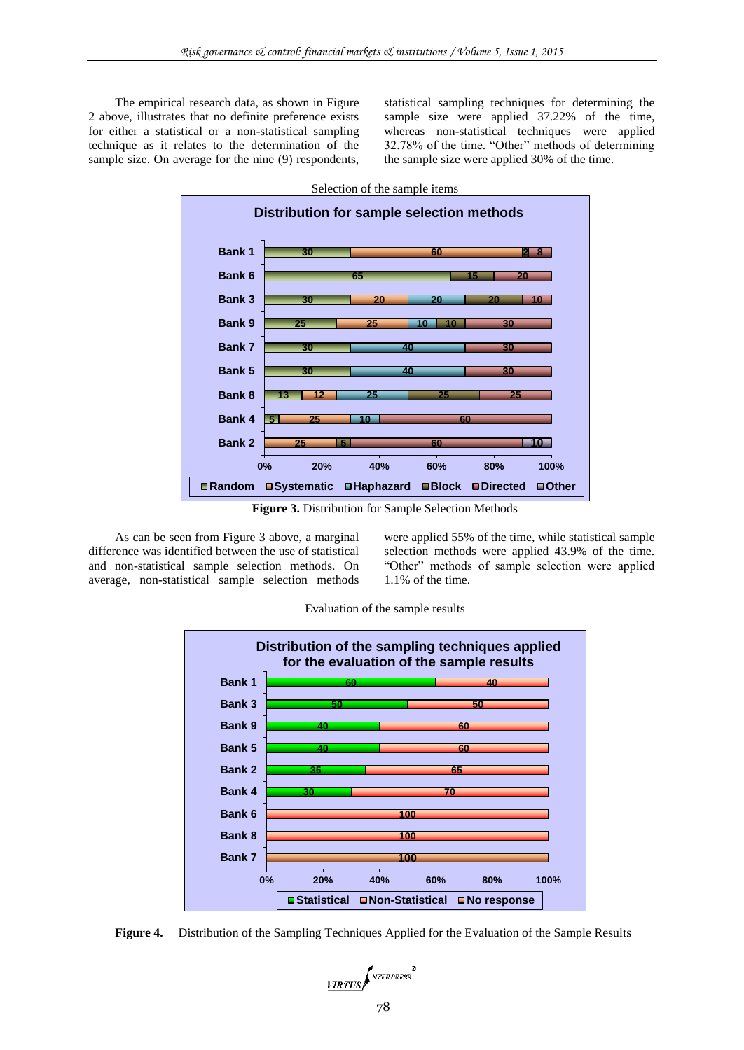The empirical research data, as shown in Figure 2 above, illustrates that no definite preference exists for either a statistical or a non-statistical sampling technique as it relates to the determination of the sample size. On average for the nine (9) respondents, statistical sampling techniques for determining the sample size were applied 37.22% of the time, whereas non-statistical techniques were applied 32.78% of the time. "Other" methods of determining the sample size were applied 30% of the time.



**Figure 3.** Distribution for Sample Selection Methods

As can be seen from Figure 3 above, a marginal difference was identified between the use of statistical and non-statistical sample selection methods. On average, non-statistical sample selection methods were applied 55% of the time, while statistical sample selection methods were applied 43.9% of the time. "Other" methods of sample selection were applied 1.1% of the time.





**Figure 4.** Distribution of the Sampling Techniques Applied for the Evaluation of the Sample Results

VIRTUS NEERPRESS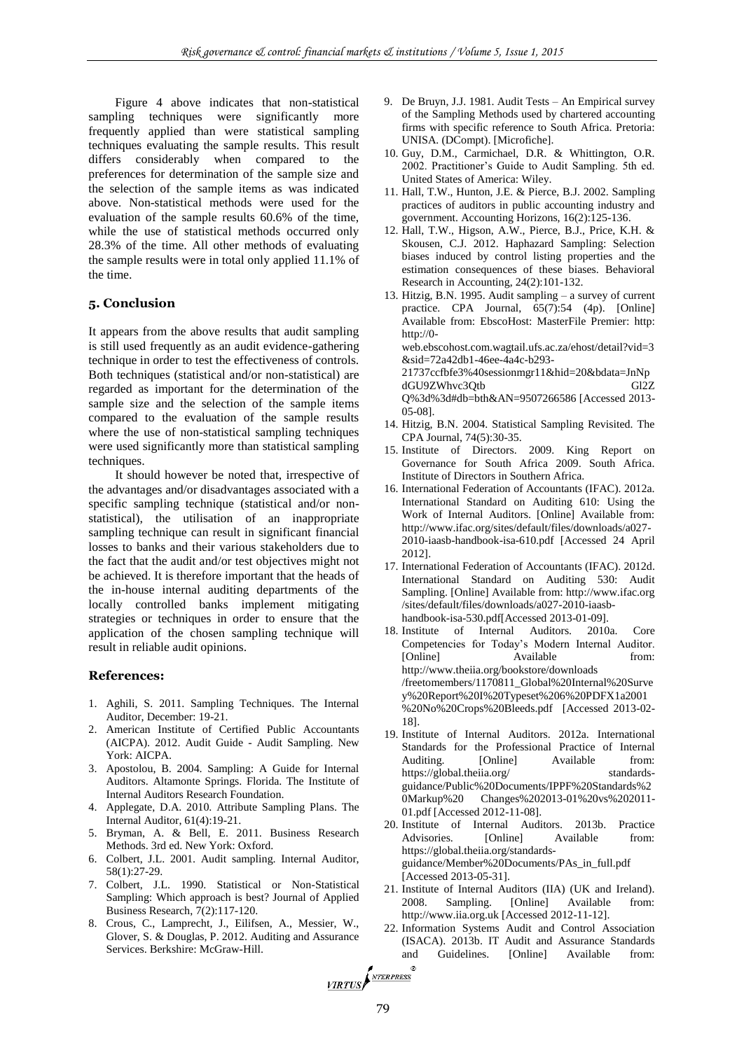Figure 4 above indicates that non-statistical sampling techniques were significantly more frequently applied than were statistical sampling techniques evaluating the sample results. This result differs considerably when compared to the preferences for determination of the sample size and the selection of the sample items as was indicated above. Non-statistical methods were used for the evaluation of the sample results 60.6% of the time, while the use of statistical methods occurred only 28.3% of the time. All other methods of evaluating the sample results were in total only applied 11.1% of the time.

#### **5. Conclusion**

It appears from the above results that audit sampling is still used frequently as an audit evidence-gathering technique in order to test the effectiveness of controls. Both techniques (statistical and/or non-statistical) are regarded as important for the determination of the sample size and the selection of the sample items compared to the evaluation of the sample results where the use of non-statistical sampling techniques were used significantly more than statistical sampling techniques.

It should however be noted that, irrespective of the advantages and/or disadvantages associated with a specific sampling technique (statistical and/or nonstatistical), the utilisation of an inappropriate sampling technique can result in significant financial losses to banks and their various stakeholders due to the fact that the audit and/or test objectives might not be achieved. It is therefore important that the heads of the in-house internal auditing departments of the locally controlled banks implement mitigating strategies or techniques in order to ensure that the application of the chosen sampling technique will result in reliable audit opinions.

#### **References:**

- 1. Aghili, S. 2011. Sampling Techniques. The Internal Auditor, December: 19-21.
- 2. American Institute of Certified Public Accountants (AICPA). 2012. Audit Guide - Audit Sampling. New York: AICPA.
- 3. Apostolou, B. 2004. Sampling: A Guide for Internal Auditors. Altamonte Springs. Florida. The Institute of Internal Auditors Research Foundation.
- 4. Applegate, D.A. 2010. Attribute Sampling Plans. The Internal Auditor, 61(4):19-21.
- 5. Bryman, A. & Bell, E. 2011. Business Research Methods. 3rd ed. New York: Oxford.
- 6. Colbert, J.L. 2001. Audit sampling. Internal Auditor, 58(1):27-29.
- 7. Colbert, J.L. 1990. Statistical or Non-Statistical Sampling: Which approach is best? Journal of Applied Business Research, 7(2):117-120.
- 8. Crous, C., Lamprecht, J., Eilifsen, A., Messier, W., Glover, S. & Douglas, P. 2012. Auditing and Assurance Services. Berkshire: McGraw-Hill.
- 9. De Bruyn, J.J. 1981. Audit Tests An Empirical survey of the Sampling Methods used by chartered accounting firms with specific reference to South Africa. Pretoria: UNISA. (DCompt). [Microfiche].
- 10. Guy, D.M., Carmichael, D.R. & Whittington, O.R. 2002. Practitioner's Guide to Audit Sampling. 5th ed. United States of America: Wiley.
- 11. Hall, T.W., Hunton, J.E. & Pierce, B.J. 2002. Sampling practices of auditors in public accounting industry and government. Accounting Horizons, 16(2):125-136.
- 12. Hall, T.W., Higson, A.W., Pierce, B.J., Price, K.H. & Skousen, C.J. 2012. Haphazard Sampling: Selection biases induced by control listing properties and the estimation consequences of these biases. Behavioral Research in Accounting, 24(2):101-132.
- 13. Hitzig, B.N. 1995. Audit sampling a survey of current practice. CPA Journal, 65(7):54 (4p). [Online] Available from: EbscoHost: MasterFile Premier: http: http://0 web.ebscohost.com.wagtail.ufs.ac.za/ehost/detail?vid=3 &sid=72a42db1-46ee-4a4c-b293- 21737ccfbfe3%40sessionmgr11&hid=20&bdata=JnNp dGU9ZWhvc3Qtb Gl2Z Q%3d%3d#db=bth&AN=9507266586 [Accessed 2013-
- 05-08]. 14. Hitzig, B.N. 2004. Statistical Sampling Revisited. The CPA Journal, 74(5):30-35.
- 15. Institute of Directors. 2009. King Report on Governance for South Africa 2009. South Africa. Institute of Directors in Southern Africa.
- 16. International Federation of Accountants (IFAC). 2012a. International Standard on Auditing 610: Using the Work of Internal Auditors. [Online] Available from: http://www.ifac.org/sites/default/files/downloads/a027- 2010-iaasb-handbook-isa-610.pdf [Accessed 24 April 2012].
- 17. International Federation of Accountants (IFAC). 2012d. International Standard on Auditing 530: Audit Sampling. [Online] Available from: http://www.ifac.org /sites/default/files/downloads/a027-2010-iaasbhandbook-isa-530.pdf[Accessed 2013-01-09].
- 18. Institute of Internal Auditors. 2010a. Core Competencies for Today's Modern Internal Auditor. [Online] Available from: http://www.theiia.org/bookstore/downloads /freetomembers/1170811\_Global%20Internal%20Surve y%20Report%20I%20Typeset%206%20PDFX1a2001 %20No%20Crops%20Bleeds.pdf [Accessed 2013-02- 18].
- 19. Institute of Internal Auditors. 2012a. International Standards for the Professional Practice of Internal Auditing. [Online] Available from: https://global.theiia.org/ standardsguidance/Public%20Documents/IPPF%20Standards%2 0Markup%20 Changes%202013-01%20vs%202011- 01.pdf [Accessed 2012-11-08].
- 20. Institute of Internal Auditors. 2013b. Practice Advisories. [Online] Available from: [https://global.theiia.org/standards](https://global.theiia.org/standards-guidance/Member%20Documents/PAs_in_full.pdf)[guidance/Member%20Documents/PAs\\_in\\_full.pdf](https://global.theiia.org/standards-guidance/Member%20Documents/PAs_in_full.pdf) [Accessed 2013-05-31].
- 21. Institute of Internal Auditors (IIA) (UK and Ireland). 2008. Sampling. [Online] Available from: http://www.iia.org.uk [Accessed 2012-11-12].
- 22. Information Systems Audit and Control Association (ISACA). 2013b. IT Audit and Assurance Standards and Guidelines. [Online] Available from:

VIRTUS *NTERPRESS*